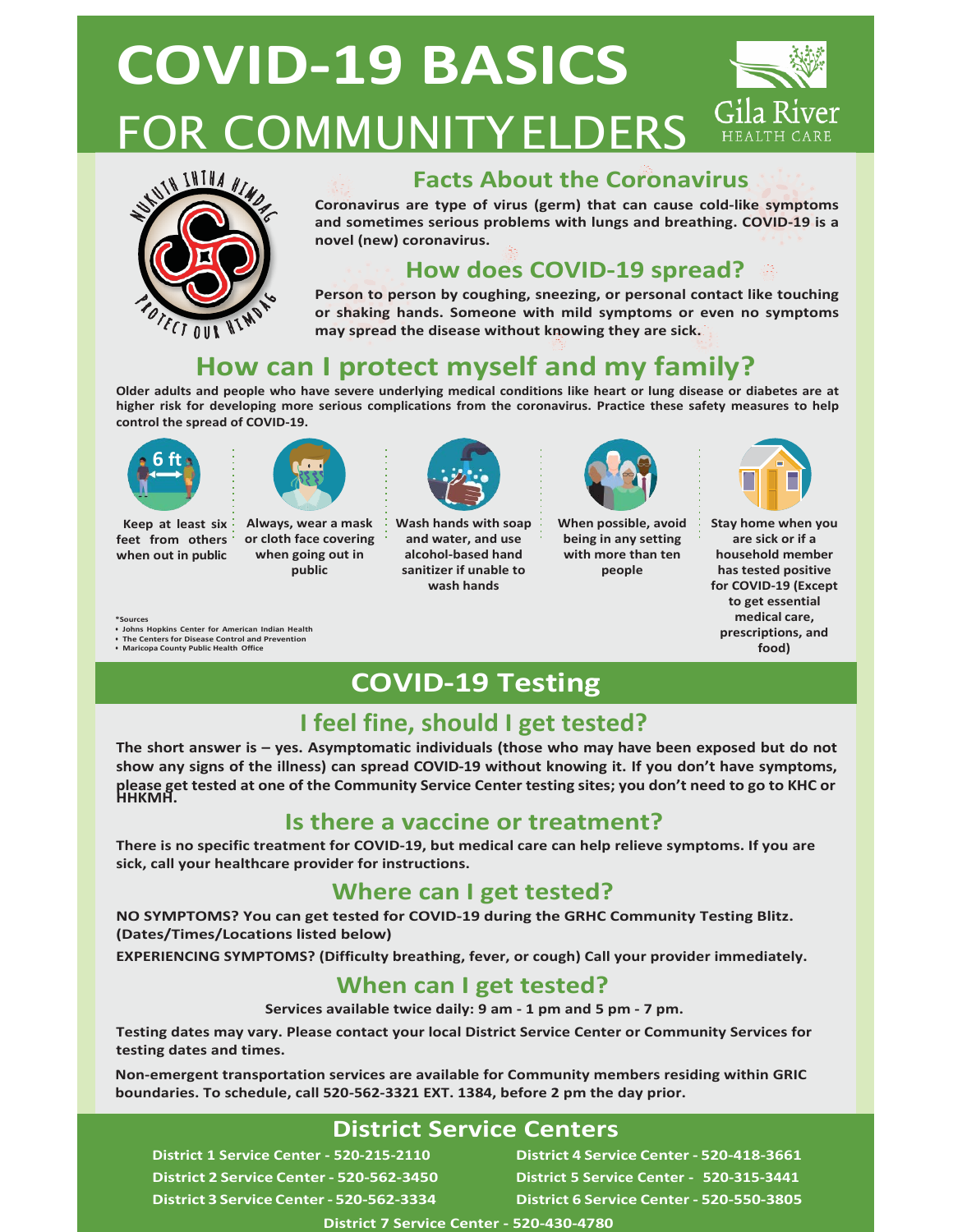# **COVID-19 BASICS** FOR COMMUNITYELDERS HEALTH CA



### **Facts About the Coronavirus**

**Coronavirus are type of virus (germ) that can cause cold-like symptoms and sometimes serious problems with lungs and breathing. COVID-19 is a novel (new) coronavirus.**

# **How does COVID-19 spread?**

**Person to person by coughing, sneezing, or personal contact like touching or shaking hands. Someone with mild symptoms or even no symptoms may spread the disease without knowing they are sick.**

# **How can I protect myself and my family?**

**Older adults and people who have severe underlying medical conditions like heart or lung disease or diabetes are at higher risk for developing more serious complications from the coronavirus. Practice these safety measures to help control the spread of COVID-19.**



**Keep at least six when out in public**



**feet from others or cloth face covering Always, wear a mask when going out in public**



**Wash hands with soap and water, and use alcohol-based hand sanitizer if unable to wash hands**



**When possible, avoid being in any setting with more than ten people**



**Stay home when you are sick or if a household member has tested positive for COVID-19 (Except to get essential medical care, prescriptions, and food)**

#### **\*Sources**

- **• Johns Hopkins Center for American Indian Health**
- **•** The Centers for Disease Control and Prevention
- **• Maricopa County Public Health Office**

# **COVID-19 Testing**

# **I feel fine, should I get tested?**

**The short answer is – yes. Asymptomatic individuals (those who may have been exposed but do not show any signs of the illness) can spread COVID-19 without knowing it. If you don't have symptoms,**  please get tested at one of the Community Service Center testing sites; you don't need to go to KHC or<br>HHKMH.

### **Is there a vaccine or treatment?**

**There is no specific treatment for COVID-19, but medical care can help relieve symptoms. If you are sick, call your healthcare provider for instructions.**

## **Where can I get tested?**

**NO SYMPTOMS? You can get tested for COVID-19 during the GRHC Community Testing Blitz. (Dates/Times/Locations listed below)**

**EXPERIENCING SYMPTOMS? (Difficulty breathing, fever, or cough) Call your provider immediately.**

### **When can I get tested?**

**Services available twice daily: 9 am - 1 pm and 5 pm - 7 pm.**

**Testing dates may vary. Please contact your local District Service Center or Community Services for testing dates and times.**

**Non-emergent transportation services are available for Community members residing within GRIC boundaries. To schedule, call 520-562-3321 EXT. 1384, before 2 pm the day prior.**

### **District Service Centers**

**District 1 Service Center - 520-215-2110 District 2 Service Center - 520-562-3450 District 3 Service Center- 520-562-3334**

**District 4 Service Center - 520-418-3661 District 5 Service Center - 520-315-3441 District 6 Service Center - 520-550-3805**